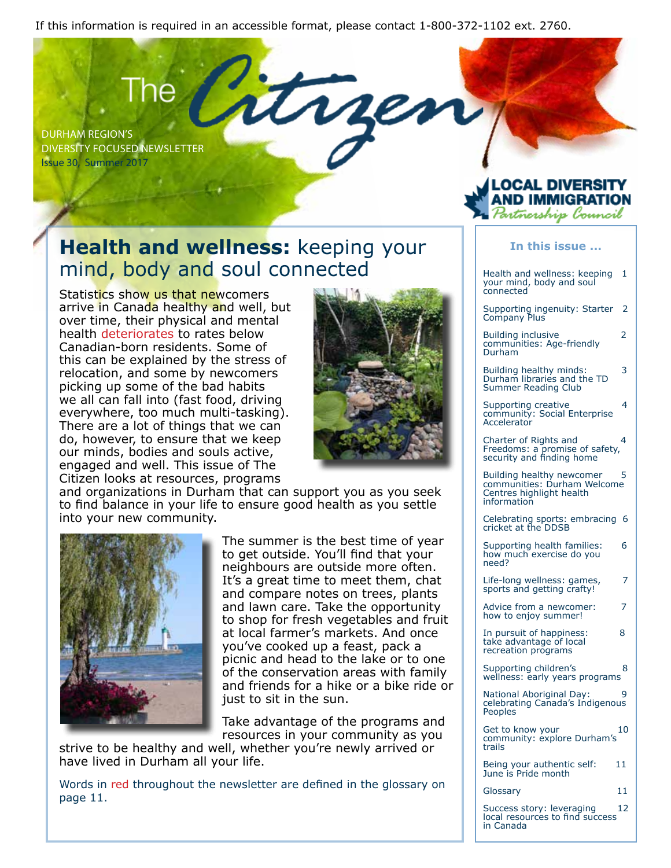If this information is required in an accessible format, please contact 1-800-372-1102 ext. 2760.

DURHAM REGION'S DIVERSITY FOCUSED NEWSLETTER Issue 30, Summer 2017

## **Health and wellness:** keeping your mind, body and soul connected

Statistics show us that newcomers arrive in Canada healthy and well, but over time, their physical and mental health deteriorates to rates below Canadian-born residents. Some of this can be explained by the stress of relocation, and some by newcomers picking up some of the bad habits we all can fall into (fast food, driving everywhere, too much multi-tasking). There are a lot of things that we can do, however, to ensure that we keep our minds, bodies and souls active, engaged and well. This issue of The Citizen looks at resources, programs



and organizations in Durham that can support you as you seek to find balance in your life to ensure good health as you settle into your new community.



The summer is the best time of year to get outside. You'll find that your neighbours are outside more often. It's a great time to meet them, chat and compare notes on trees, plants and lawn care. Take the opportunity to shop for fresh vegetables and fruit at local farmer's markets. And once you've cooked up a feast, pack a picnic and head to the lake or to one of the conservation areas with family and friends for a hike or a bike ride or just to sit in the sun.

Take advantage of the programs and resources in your community as you

strive to be healthy and well, whether you're newly arrived or have lived in Durham all your life.

Words in red throughout the newsletter are defined in the glossary on page 11.

### .OCAL DIVERSITY **IMMIGRAT** artnership Council

#### **In this issue ...**

Health and wellness: keeping 1 your mind, body and soul connected

Supporting ingenuity: Starter 2 Company Plus

Building inclusive 2 communities: Age-friendly Durham

Building healthy minds: 3 Durham libraries and the TD Summer Reading Club

Supporting creative 4 community: Social Enterprise **Accelerator** 

Charter of Rights and 4 Freedoms: a promise of safety, security and finding home

Building healthy newcomer 5 communities: Durham Welcome Centres highlight health information

Celebrating sports: embracing 6 cricket at the DDSB

Supporting health families: 6 how much exercise do you need?

Life-long wellness: games, 7 sports and getting crafty!

Advice from a newcomer: 7 how to enjoy summer!

In pursuit of happiness: 8 take advantage of local recreation programs

Supporting children's 8 wellness: early years programs

National Aboriginal Day: 9 celebrating Canada's Indigenous Peoples

Get to know your 10 community: explore Durham's trails

Being your authentic self: 11 June is Pride month

Glossary 11

Success story: leveraging 12 local resources to find success in Canada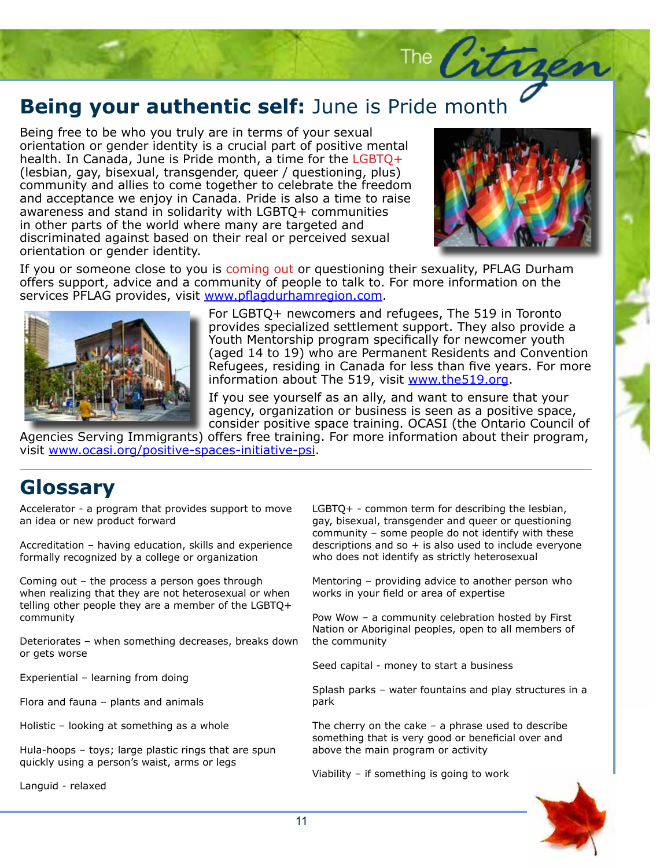# **Being your authentic self:** June is Pride month

Being free to be who you truly are in terms of your sexual orientation or gender identity is a crucial part of positive mental health. In Canada, June is Pride month, a time for the LGBTQ+ (lesbian, gay, bisexual, transgender, queer / questioning, plus) community and allies to come together to celebrate the freedom and acceptance we enjoy in Canada. Pride is also a time to raise awareness and stand in solidarity with LGBTQ+ communities in other parts of the world where many are targeted and discriminated against based on their real or perceived sexual orientation or gender identity.



The Citrzen

If you or someone close to you is coming out or questioning their sexuality, PFLAG Durham offers support, advice and a community of people to talk to. For more information on the services PFLAG provides, visit www.pflagdurhamregion.com.



For LGBTQ+ newcomers and refugees, The 519 in Toronto provides specialized settlement support. They also provide a Youth Mentorship program specifically for newcomer youth (aged 14 to 19) who are Permanent Residents and Convention Refugees, residing in Canada for less than five years. For more information about The 519, visit www.the519.org.

If you see yourself as an ally, and want to ensure that your agency, organization or business is seen as a positive space, consider positive space training. OCASI (the Ontario Council of

Agencies Serving Immigrants) offers free training. For more information about their program, visit www.ocasi.org/positive-spaces-initiative-psi.

## **Glossary**

Accelerator - a program that provides support to move an idea or new product forward

Accreditation – having education, skills and experience formally recognized by a college or organization

Coming out – the process a person goes through when realizing that they are not heterosexual or when telling other people they are a member of the LGBTQ+ community

Deteriorates – when something decreases, breaks down or gets worse

Experiential – learning from doing

Flora and fauna – plants and animals

Holistic – looking at something as a whole

Hula-hoops – toys; large plastic rings that are spun quickly using a person's waist, arms or legs

Languid - relaxed

LGBTQ+ - common term for describing the lesbian, gay, bisexual, transgender and queer or questioning community – some people do not identify with these descriptions and so  $+$  is also used to include everyone who does not identify as strictly heterosexual

Mentoring – providing advice to another person who works in your field or area of expertise

Pow Wow – a community celebration hosted by First Nation or Aboriginal peoples, open to all members of the community

Seed capital - money to start a business

Splash parks – water fountains and play structures in a park

The cherry on the cake  $-$  a phrase used to describe something that is very good or beneficial over and above the main program or activity

Viability – if something is going to work